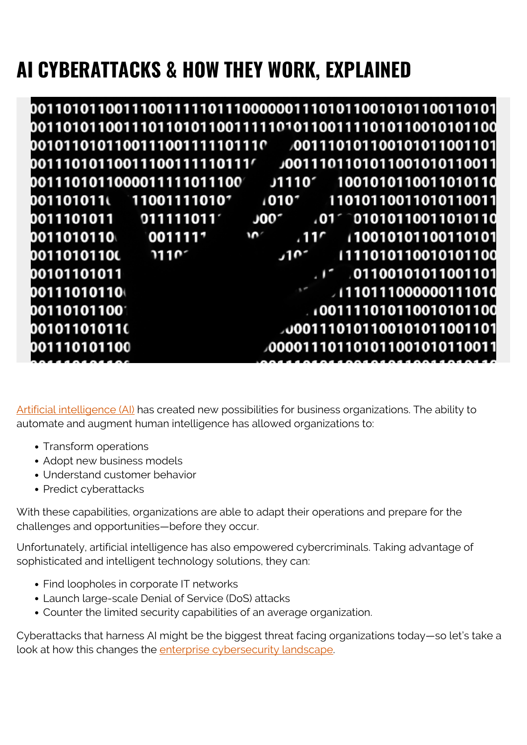# **AI CYBERATTACKS & HOW THEY WORK, EXPLAINED**

|              | 00111010110011100111110111′ |                                  | 11001101101101100101011001100             |
|--------------|-----------------------------|----------------------------------|-------------------------------------------|
|              | 0011101011000011111011100   |                                  | J1110' 1001010110011010110                |
| 001101011เ   | 11001111010                 | 10101                            | 11010110011010110011                      |
|              |                             | J00″                             | $.01^\circ$ 01010110011010110             |
| 0011010110\  | 0011117                     | $\mathbf{M}$<br>.11 <sup>c</sup> | 10010101100110101 ا                       |
| 00110101100  | 2110 <sup>7</sup>           | .10 <sup>2</sup>                 | 1111010110010101100                       |
| 00101101011  |                             |                                  | $\cdot$ $\cdot$ $\cdot$ 01100101011001101 |
| 00111010110  |                             |                                  | $\sim$ 1110111000000111010                |
| 001101011001 |                             |                                  | 1001111010110010101100                    |
| 00101101011( | <u> Tanzania (h. 1878).</u> |                                  | 001110101100101011001101/ 0001101         |
| 001110101100 |                             |                                  | <b>000011101101011001010110011</b>        |
|              |                             |                                  |                                           |

[Artificial intelligence \(AI\)](https://blogs.bmc.com/blogs/artificial-intelligence-vs-machine-learning/) has created new possibilities for business organizations. The ability to automate and augment human intelligence has allowed organizations to:

- Transform operations
- Adopt new business models
- Understand customer behavior
- Predict cyberattacks

With these capabilities, organizations are able to adapt their operations and prepare for the challenges and opportunities—before they occur.

Unfortunately, artificial intelligence has also empowered cybercriminals. Taking advantage of sophisticated and intelligent technology solutions, they can:

- Find loopholes in corporate IT networks
- Launch large-scale Denial of Service (DoS) attacks
- Counter the limited security capabilities of an average organization.

Cyberattacks that harness AI might be the biggest threat facing organizations today—so let's take a look at how this changes the [enterprise cybersecurity landscape](https://blogs.bmc.com/blogs/cybersecurity/).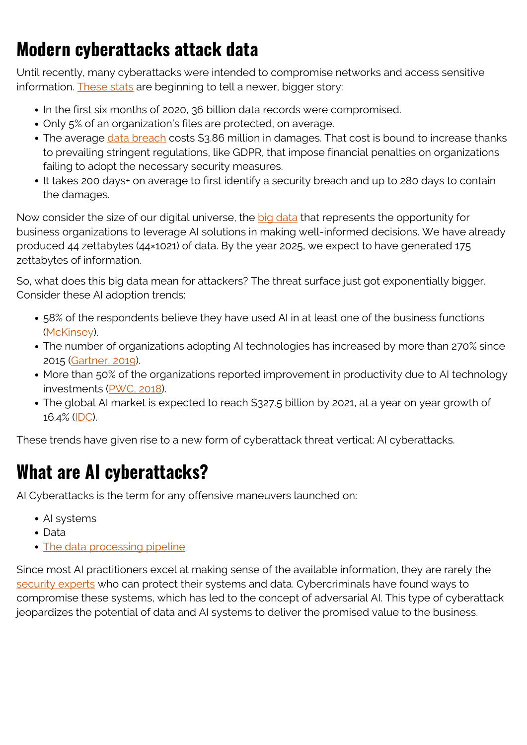## **Modern cyberattacks attack data**

Until recently, many cyberattacks were intended to compromise networks and access sensitive information. [These stats](https://www.varonis.com/blog/cybersecurity-statistics/) are beginning to tell a newer, bigger story:

- In the first six months of 2020, 36 billion data records were compromised.
- Only 5% of an organization's files are protected, on average.
- The average [data breach](https://blogs.bmc.com/blogs/data-breaches/) costs \$3.86 million in damages. That cost is bound to increase thanks to prevailing stringent regulations, like GDPR, that impose financial penalties on organizations failing to adopt the necessary security measures.
- It takes 200 days+ on average to first identify a security breach and up to 280 days to contain the damages.

Now consider the size of our digital universe, the [big data](https://blogs.bmc.com/blogs/big-data/) that represents the opportunity for business organizations to leverage AI solutions in making well-informed decisions. We have already produced 44 zettabytes (44×1021) of data. By the year 2025, we expect to have generated 175 zettabytes of information.

So, what does this big data mean for attackers? The threat surface just got exponentially bigger. Consider these AI adoption trends:

- 58% of the respondents believe they have used AI in at least one of the business functions ([McKinsey\)](https://www.mckinsey.com/business-functions/mckinsey-analytics/our-insights/global-survey-the-state-of-ai-in-2020).
- The number of organizations adopting AI technologies has increased by more than 270% since 2015 [\(Gartner, 2019](https://www.gartner.com/en/newsroom/press-releases/2019-01-21-gartner-survey-shows-37-percent-of-organizations-have)).
- More than 50% of the organizations reported improvement in productivity due to AI technology investments ([PWC, 2018\)](https://www.pwc.lu/en/digital-services/docs/pwc-ai-predictions-2018-report.pdf).
- The global AI market is expected to reach \$327.5 billion by 2021, at a year on year growth of 16.4% ([IDC\)](https://www.idc.com/getdoc.jsp?containerId=prUS47482321#:~:text=The%20AI%20Services%20category%20grew,reaching%20%2437.9%20billion%20by%202024.).

These trends have given rise to a new form of cyberattack threat vertical: AI cyberattacks.

### **What are AI cyberattacks?**

AI Cyberattacks is the term for any offensive maneuvers launched on:

- AI systems
- Data
- [The data processing pipeline](https://blogs.bmc.com/blogs/data-pipeline/)

Since most AI practitioners excel at making sense of the available information, they are rarely the [security experts](https://blogs.bmc.com/blogs/secops-roles/) who can protect their systems and data. Cybercriminals have found ways to compromise these systems, which has led to the concept of adversarial AI. This type of cyberattack jeopardizes the potential of data and AI systems to deliver the promised value to the business.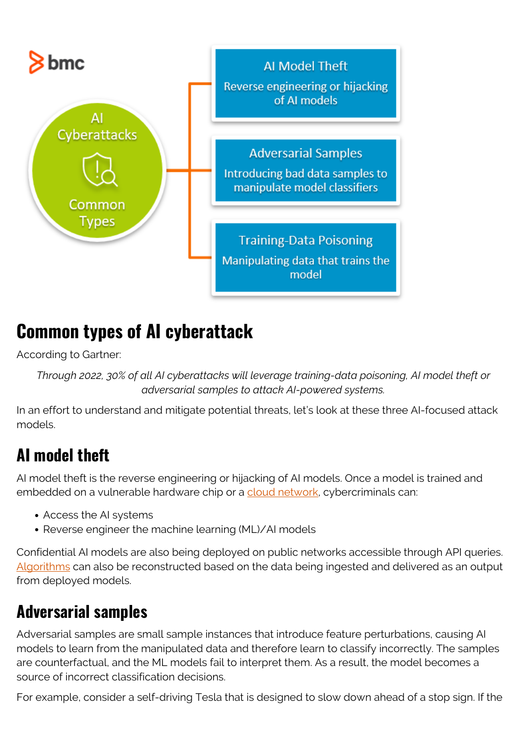

### **Common types of AI cyberattack**

According to Gartner:

*Through 2022, 30% of all AI cyberattacks will leverage training-data poisoning, AI model theft or adversarial samples to attack AI-powered systems.*

In an effort to understand and mitigate potential threats, let's look at these three AI-focused attack models.

### **AI model theft**

AI model theft is the reverse engineering or hijacking of AI models. Once a model is trained and embedded on a vulnerable hardware chip or a [cloud network,](https://blogs.bmc.com/blogs/public-private-hybrid-cloud/) cybercriminals can:

- Access the AI systems
- Reverse engineer the machine learning (ML)/AI models

Confidential AI models are also being deployed on public networks accessible through API queries. [Algorithms](https://blogs.bmc.com/blogs/machine-learning-algorithms/) can also be reconstructed based on the data being ingested and delivered as an output from deployed models.

#### **Adversarial samples**

Adversarial samples are small sample instances that introduce feature perturbations, causing AI models to learn from the manipulated data and therefore learn to classify incorrectly. The samples are counterfactual, and the ML models fail to interpret them. As a result, the model becomes a source of incorrect classification decisions.

For example, consider a self-driving Tesla that is designed to slow down ahead of a stop sign. If the